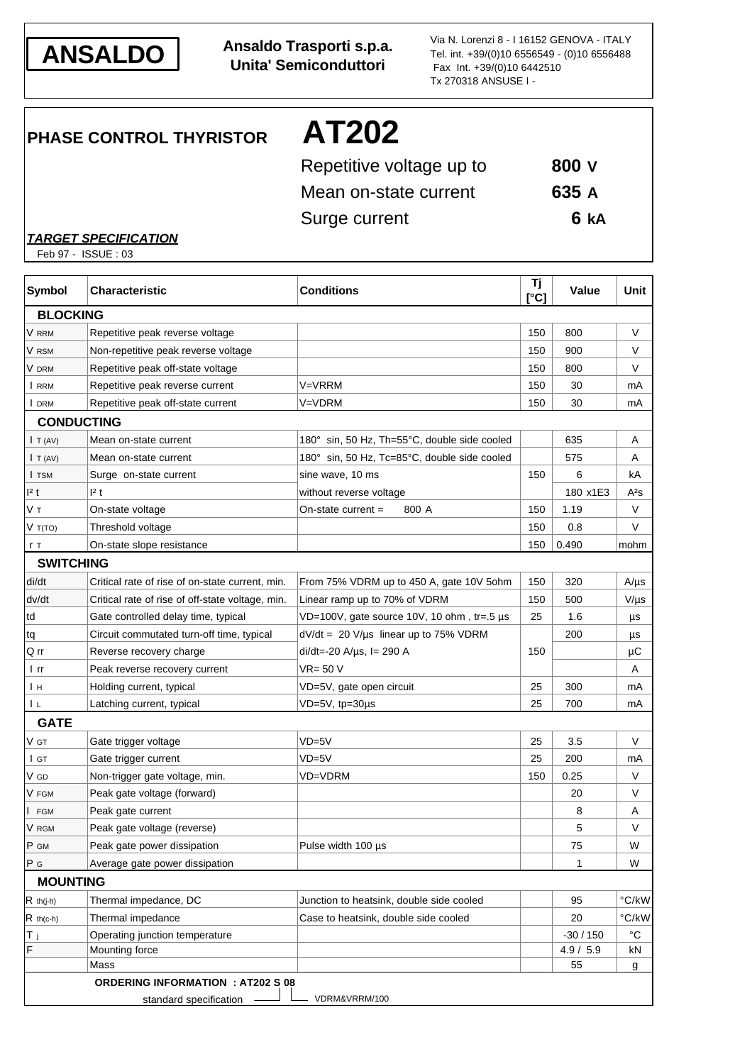

**ANSALDO Ansaldo Trasporti s.p.a. Unita' Semiconduttori**

Via N. Lorenzi 8 - I 16152 GENOVA - ITALY Tel. int. +39/(0)10 6556549 - (0)10 6556488 Fax Int. +39/(0)10 6442510 Tx 270318 ANSUSE I -

**PHASE CONTROL THYRISTOR AT202**

| Repetitive voltage up to | 800 V |
|--------------------------|-------|
| Mean on-state current    | 635 A |
| Surge current            | 6 kA  |

*TARGET SPECIFICATION*

Feb 97 - ISSUE : 03

| <b>Symbol</b>    | <b>Characteristic</b>                            | <b>Conditions</b>                            | Tj<br>$\Gamma$ <sup>o</sup> Cl | <b>Value</b> | Unit              |
|------------------|--------------------------------------------------|----------------------------------------------|--------------------------------|--------------|-------------------|
| <b>BLOCKING</b>  |                                                  |                                              |                                |              |                   |
| V rrm            | Repetitive peak reverse voltage                  |                                              | 150                            | 800          | V                 |
| V rsm            | Non-repetitive peak reverse voltage              |                                              | 150                            | 900          | V                 |
| V DRM            | Repetitive peak off-state voltage                |                                              | 150                            | 800          | V                 |
| I RRM            | Repetitive peak reverse current                  | V=VRRM                                       | 150                            | 30           | mA                |
| I DRM            | Repetitive peak off-state current                | V=VDRM                                       | 150                            | 30           | mA                |
|                  | <b>CONDUCTING</b>                                |                                              |                                |              |                   |
| I T (AV)         | Mean on-state current                            | 180° sin, 50 Hz, Th=55°C, double side cooled |                                | 635          | A                 |
| I T (AV)         | Mean on-state current                            | 180° sin, 50 Hz, Tc=85°C, double side cooled |                                | 575          | Α                 |
| I TSM            | Surge on-state current                           | sine wave, 10 ms                             | 150                            | 6            | kA                |
| 2t               | 12 t                                             | without reverse voltage                      |                                | 180 x1E3     | A <sup>2</sup> s  |
| Vт               | On-state voltage                                 | On-state current $=$<br>800 A                | 150                            | 1.19         | V                 |
| V T(TO)          | Threshold voltage                                |                                              | 150                            | 0.8          | V                 |
| r T              | On-state slope resistance                        |                                              | 150                            | 0.490        | mohm              |
| <b>SWITCHING</b> |                                                  |                                              |                                |              |                   |
| di/dt            | Critical rate of rise of on-state current, min.  | From 75% VDRM up to 450 A, gate 10V 5ohm     | 150                            | 320          | $A/\mu s$         |
| dv/dt            | Critical rate of rise of off-state voltage, min. | Linear ramp up to 70% of VDRM                | 150                            | 500          | $V/\mu s$         |
| td               | Gate controlled delay time, typical              | VD=100V, gate source 10V, 10 ohm, tr=.5 µs   | 25                             | 1.6          | μs                |
| tq               | Circuit commutated turn-off time, typical        | $dV/dt = 20 V/\mu s$ linear up to 75% VDRM   |                                | 200          | μs                |
| Q rr             | Reverse recovery charge                          | $di/dt = -20$ A/ $\mu$ s, l = 290 A          | 150                            |              | μC                |
| l rr             | Peak reverse recovery current                    | VR= 50 V                                     |                                |              | Α                 |
| Iн               | Holding current, typical                         | VD=5V, gate open circuit                     | 25                             | 300          | mA                |
| ΙL               | Latching current, typical                        | VD=5V, tp=30µs                               | 25                             | 700          | mA                |
| <b>GATE</b>      |                                                  |                                              |                                |              |                   |
| V GT             | Gate trigger voltage                             | $VD = 5V$                                    | 25                             | 3.5          | V                 |
| l gt             | Gate trigger current                             | $VD = 5V$                                    | 25                             | 200          | mA                |
| V GD             | Non-trigger gate voltage, min.                   | <b>VD=VDRM</b>                               | 150                            | 0.25         | V                 |
| V FGM            | Peak gate voltage (forward)                      |                                              |                                | 20           | V                 |
| <b>FGM</b>       | Peak gate current                                |                                              |                                | 8            | Α                 |
| V RGM            | Peak gate voltage (reverse)                      |                                              |                                | 5            | V                 |
| P GM             | Peak gate power dissipation                      | Pulse width 100 µs                           |                                | 75           | W                 |
| P G              | Average gate power dissipation                   |                                              |                                | 1            | W                 |
| <b>MOUNTING</b>  |                                                  |                                              |                                |              |                   |
| $R$ th(j-h)      | Thermal impedance, DC                            | Junction to heatsink, double side cooled     |                                | 95           | °C/kW             |
| $R$ th(c-h)      | Thermal impedance                                | Case to heatsink, double side cooled         |                                | 20           | $\degree$ C/kW    |
| Τj               | Operating junction temperature                   |                                              |                                | $-30/150$    | $^{\circ}{\rm C}$ |
| F                | Mounting force                                   |                                              |                                | 4.9 / 5.9    | kN                |
|                  | Mass                                             |                                              |                                | 55           | g                 |
|                  | <b>ORDERING INFORMATION : AT202 S 08</b>         |                                              |                                |              |                   |
|                  | standard specification                           | VDRM&VRRM/100                                |                                |              |                   |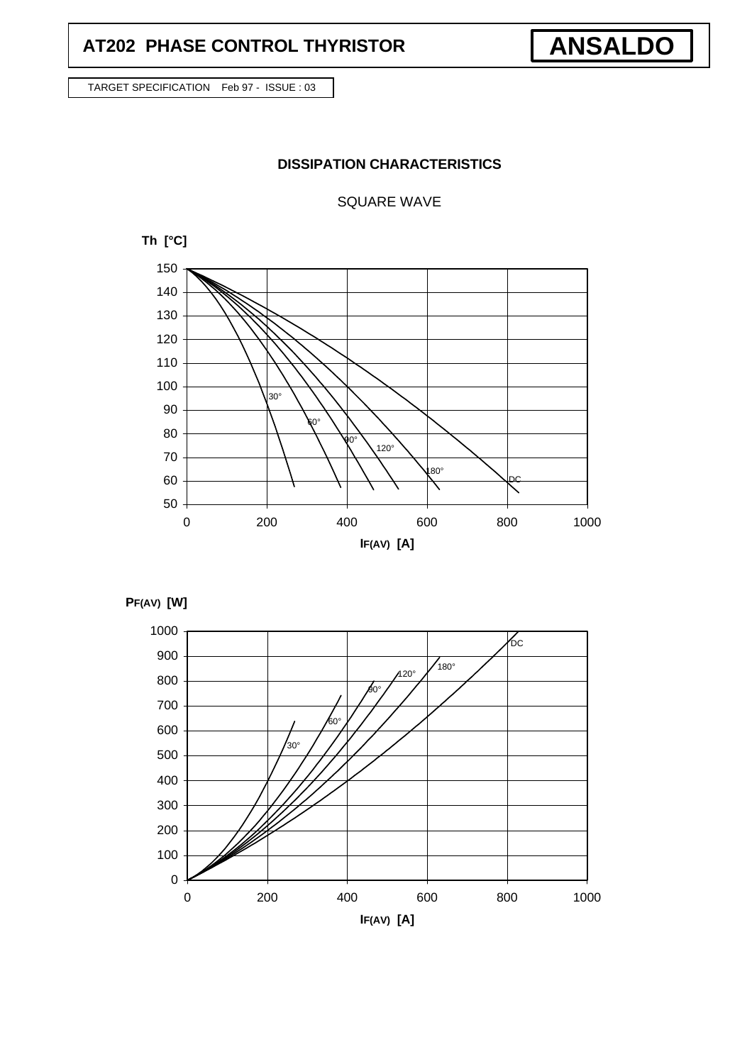## **AT202 PHASE CONTROL THYRISTOR**

**ANSALDO**

TARGET SPECIFICATION Feb 97 - ISSUE : 03

### **DISSIPATION CHARACTERISTICS**

SQUARE WAVE





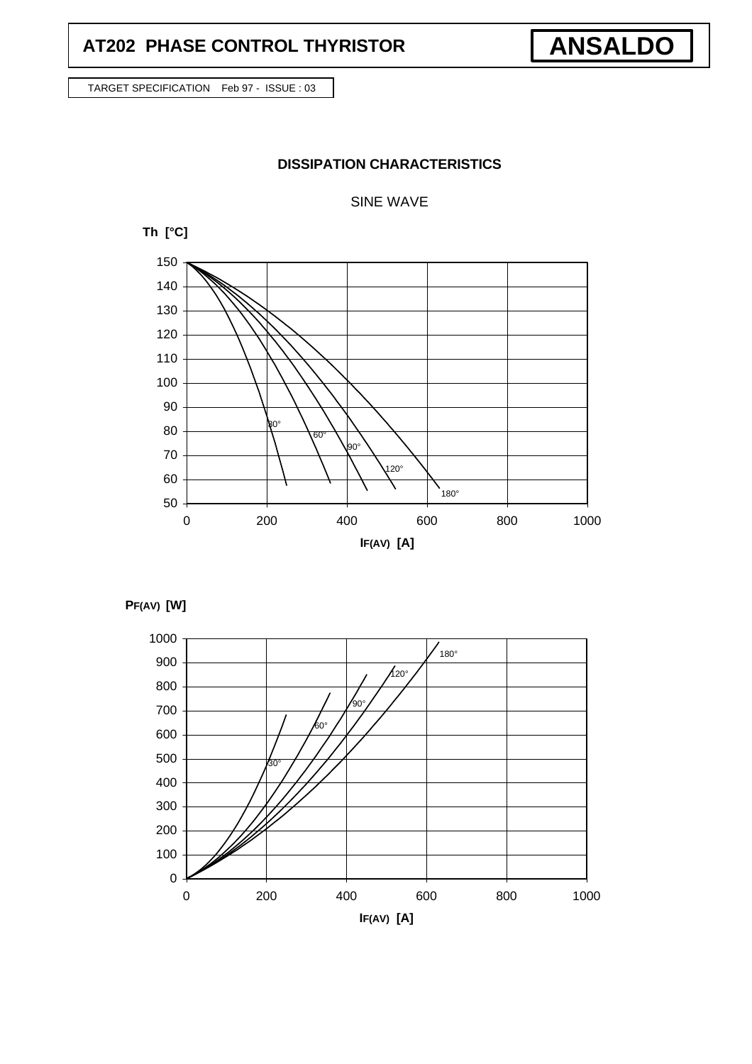## **AT202 PHASE CONTROL THYRISTOR**

**ANSALDO**

TARGET SPECIFICATION Feb 97 - ISSUE : 03

### **DISSIPATION CHARACTERISTICS**

SINE WAVE